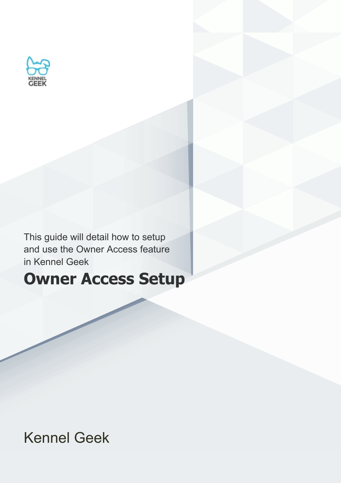

This guide will detail how to setup and use the Owner Access feature in Kennel Geek

### **Owner Access Setup**

Kennel Geek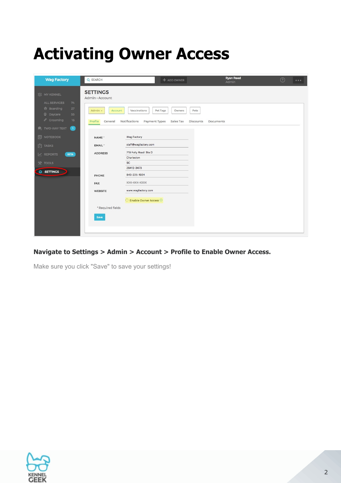# **Activating Owner Access**

| <b>Wag Factory</b>                                                                                                                                      | Q SEARCH                                                                            | $+$ ADD OWNER                                                                                          | <b>Ryan Reed</b><br>Admin | $\odot$ | $\bullet\bullet\bullet$ |
|---------------------------------------------------------------------------------------------------------------------------------------------------------|-------------------------------------------------------------------------------------|--------------------------------------------------------------------------------------------------------|---------------------------|---------|-------------------------|
| 88 MY KENNEL<br><b>ALL SERVICES</b><br>74<br><b>合</b> Boarding<br>27<br>· Daycare<br>55<br>Crooming<br>16<br><b>D</b> TWO-WAY TEXT<br>$\left( 1\right)$ | <b>SETTINGS</b><br>Admin > Account<br>Admin $\sim$<br>Account<br>General<br>Profile | Vaccinations<br>Pet Tags<br>Owners<br>Pets<br>Notifications<br>Payment Types<br>Sales Tax<br>Discounts | Documents                 |         |                         |
| <b>D</b> NOTEBOOK<br>$\boxed{\div}$ TASKS                                                                                                               | NAME <sup>®</sup><br>EMAIL*                                                         | Wag Factory<br>staff@wagfactory.com                                                                    |                           |         |                         |
| <b>BETA</b><br>$\nu$ REPORTS<br><b>N</b> TOOLS                                                                                                          | <b>ADDRESS</b>                                                                      | 719 Folly Road Ste D<br>Charleston<br>SC                                                               |                           |         |                         |
| <b>Q SETTINGS</b>                                                                                                                                       | PHONE                                                                               | 29412-3473<br>843-225-1924                                                                             |                           |         |                         |
|                                                                                                                                                         | <b>FAX</b><br><b>WEBSITE</b>                                                        | XXX-XXX-XXXX<br>www.wagfactory.com                                                                     |                           |         |                         |
|                                                                                                                                                         | * Required fields<br>Save                                                           | ◯ Enable Owner Access ①                                                                                |                           |         |                         |

### **Navigate to Settings > Admin > Account > Profile to Enable Owner Access.**

Make sure you click "Save" to save your settings!

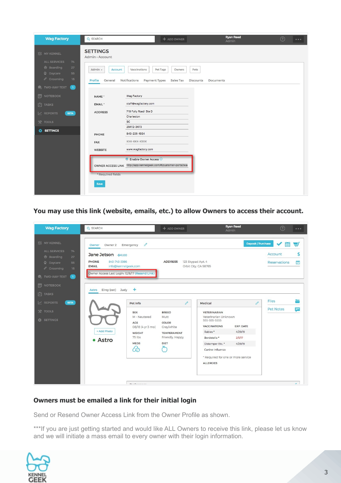| <b>Wag Factory</b>                                            | Q SEARCH                                 | + ADD OWNER                                                                                                   | <b>Ryan Reed</b><br>Admin | $\odot$ | $\bullet\bullet\bullet$ |
|---------------------------------------------------------------|------------------------------------------|---------------------------------------------------------------------------------------------------------------|---------------------------|---------|-------------------------|
| 83 MY KENNEL<br><b>ALL SERVICES</b><br>74                     | <b>SETTINGS</b><br>Admin > Account       |                                                                                                               |                           |         |                         |
| <b>合</b> Boarding<br>27<br>'" Daycare<br>55<br>Crooming<br>16 | Admin -<br>Account<br>Profile<br>General | Vaccinations<br>Pet Tags<br>Owners<br>Pets<br>Notifications<br>Payment Types<br>Sales Tax<br><b>Discounts</b> | Documents                 |         |                         |
| <b>D</b> , TWO-WAY TEXT<br>$\blacksquare$                     |                                          |                                                                                                               |                           |         |                         |
| <b>削 NOTEBOOK</b>                                             | NAME <sup>®</sup>                        | Wag Factory                                                                                                   |                           |         |                         |
| $\boxed{2}$ TASKS                                             | EMAIL*                                   | staff@wagfactory.com                                                                                          |                           |         |                         |
| <b>BETA</b><br>$\angle$ REPORTS                               | <b>ADDRESS</b>                           | 719 Folly Road Ste D                                                                                          |                           |         |                         |
| <b>N</b> TOOLS                                                |                                          | Charleston<br>SC                                                                                              |                           |         |                         |
| <b>O</b> SETTINGS                                             |                                          | 29412-3473                                                                                                    |                           |         |                         |
|                                                               | PHONE                                    | 843-225-1924                                                                                                  |                           |         |                         |
|                                                               | <b>FAX</b>                               | XXX-XXX-XXXX                                                                                                  |                           |         |                         |
| <b>WEBSITE</b>                                                |                                          | www.wagfactory.com                                                                                            |                           |         |                         |
|                                                               | * Required fields                        | <b>C</b> Enable Owner Access <b>C</b><br>OWNER ACCESS LINK http://app.kennelgeek.com/#/customer-portal/way    |                           |         |                         |
|                                                               | Save                                     |                                                                                                               |                           |         |                         |

**You may use this link (website, emails, etc.) to allow Owners to access their account.**

| <b>Wag Factory</b>                                                                                                                                                               | Q SEARCH                                                                                                                                                                                                                              | + ADD OWNER                                                                                              | <b>Ryan Reed</b><br>Admin                                                                                                                                                                                                                                                            | $\odot$<br>$- - -$                                         |
|----------------------------------------------------------------------------------------------------------------------------------------------------------------------------------|---------------------------------------------------------------------------------------------------------------------------------------------------------------------------------------------------------------------------------------|----------------------------------------------------------------------------------------------------------|--------------------------------------------------------------------------------------------------------------------------------------------------------------------------------------------------------------------------------------------------------------------------------------|------------------------------------------------------------|
| 83 MY KENNEL<br><b>ALL SERVICES</b><br>74<br><b>合</b> Boarding<br>27<br>쌀 Daycare<br>55<br><i>♦</i> Grooming<br>16<br><b>D</b> TWO-WAY TEXT<br>$\bullet$<br>訚<br><b>NOTEBOOK</b> | $\mathscr{O}$<br>Owner 2 Emergency<br>Owner<br>Jane Jetson -\$41.00<br>843-743-3366<br><b>PHONE</b><br>info@kennelgeek.com<br><b>EMAIL</b><br>Owner Access Last Login: 12/8/17 (Resend Link)                                          | <b>ADDRESS</b><br>123 Skypad Apt. 4                                                                      | <b>Deposit / Purchase</b><br>Orbit City, CA 98765                                                                                                                                                                                                                                    | پ<br>⊞<br>\$<br>Account<br><b>V</b><br><b>Reservations</b> |
| $\boxed{\div}$ TASKS<br>$\sqrt{\phantom{a}}$ REPORTS<br><b>BETA</b><br><b>N</b> TOOLS<br><b>O</b> SETTINGS                                                                       | ÷<br>Elroy (cat)<br>Judy<br>Astro<br>Pet Info<br><b>SEX</b><br>M - Neutered<br><b>AGE</b><br>08/18 (4 yr 3 mo)<br>+ Add Photo<br><b>WEIGHT</b><br>75 lbs<br>• Astro<br><b>MEDS</b><br>66<br>$B_{11}$ , $B_{21}$ , $B_{31}$ , $B_{31}$ | o<br><b>BREED</b><br>Mutt<br>COLOR<br>Gray/white<br><b>TEMPERAMENT</b><br>Friendly, Happy<br><b>DIET</b> | i<br>Medical<br><b>VETERINARIAN</b><br>Veterinarian Unknown<br>555-555-5555<br><b>VACCINATIONS</b><br><b>EXP. DATE</b><br>4/29/19<br>Rabies *<br>Bordetella *<br>2/5/17<br>Distemper Etc. *<br>4/29/19<br>Canine Influenza<br>* Required for one or more service<br><b>ALLERGIES</b> | <b>Files</b><br>늘<br>F<br><b>Pet Notes</b><br>$\Delta$     |

#### **Owners must be emailed a link for their initial login**

Send or Resend Owner Access Link from the Owner Profile as shown.

\*\*\*If you are just getting started and would like ALL Owners to receive this link, please let us know and we will initiate a mass email to every owner with their login information.

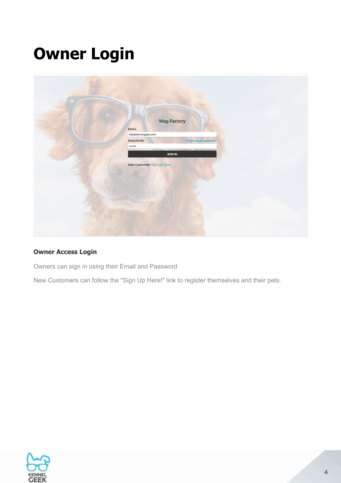## **Owner Login**

| <b>Wag Factory</b><br>EMAIL<br>info@kennelgeek.com |
|----------------------------------------------------|
| Forgot your password?<br>PASSWORD<br>              |
| SIGN IN                                            |
| New Customer? Sign Up Here!                        |
|                                                    |

### **Owner Access Login**

Owners can sign in using their Email and Password

New Customers can follow the "Sign Up Here!" link to register themselves and their pets.

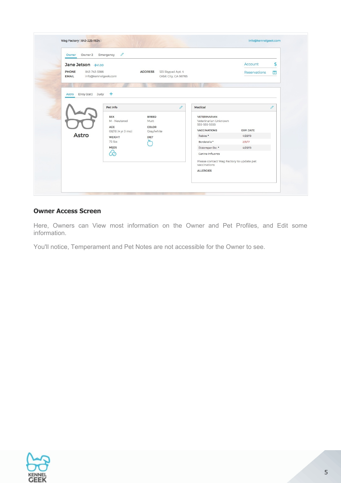| Owner Owner 2 Emergency                                      | o                          |                                                   |                                                             |                     |    |
|--------------------------------------------------------------|----------------------------|---------------------------------------------------|-------------------------------------------------------------|---------------------|----|
| Jane Jetson -\$41.00                                         |                            |                                                   |                                                             | Account             | \$ |
| PHONE<br>843-743-3366<br>info@kennelgeek.com<br><b>EMAIL</b> |                            | ADDRESS 123 Skypad Apt. 4<br>Orbit City, CA 98765 |                                                             | <b>Reservations</b> | 它  |
|                                                              |                            |                                                   |                                                             |                     |    |
| Elroy (cat) Judy $+$<br>Astro                                | Pet Info                   |                                                   | Ò<br>Medical                                                |                     | o  |
|                                                              | <b>SEX</b><br>M - Neutered | <b>BREED</b><br>Mutt                              | <b>VETERINARIAN</b><br>Veterinarian Unknown<br>555-555-5555 |                     |    |
|                                                              | AGE<br>08/18 (4 yr 3 mo)   | COLOR<br>Gray/white                               | <b>VACCINATIONS</b>                                         | EXP. DATE           |    |
| Astro                                                        | <b>WEIGHT</b>              | <b>DIET</b>                                       | Rabies <sup>®</sup>                                         | 4/29/19             |    |
|                                                              | 75 lbs                     |                                                   | Bordetella *                                                | 2/5/17              |    |
|                                                              | <b>MEDS</b>                |                                                   | Distemper Etc. *                                            | 4/29/19             |    |
|                                                              | 66                         |                                                   | Canine Influenza                                            |                     |    |
|                                                              |                            |                                                   | Please contact Wag Factory to update pet<br>vaccinations    |                     |    |

#### **Owner Access Screen**

Here, Owners can View most information on the Owner and Pet Profiles, and Edit some information.

You'll notice, Temperament and Pet Notes are not accessible for the Owner to see.

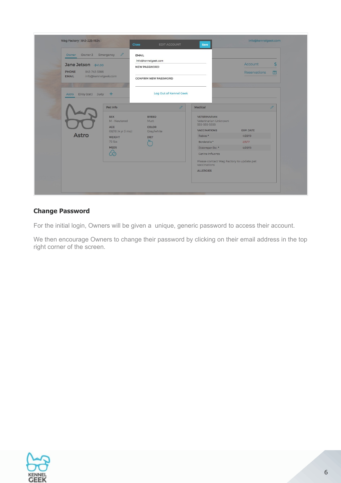| $\delta$<br>Owner Owner 2 Emergency<br>Jane Jetson -\$41.00<br>843-743-3366<br>PHONE<br><b>EMAIL</b><br>info@kennelgeek.com |                                                                                                                     | <b>EMAIL</b><br>info@kennelgeek.com<br><b>NEW PASSWORD</b><br>CONFIRM NEW PASSWORD |                        |                                                                                                                           | $\mathsf{s}$<br>Account<br>它<br>Reservations |                            |
|-----------------------------------------------------------------------------------------------------------------------------|---------------------------------------------------------------------------------------------------------------------|------------------------------------------------------------------------------------|------------------------|---------------------------------------------------------------------------------------------------------------------------|----------------------------------------------|----------------------------|
| Elroy (cat) Judy $+$<br>Astro                                                                                               |                                                                                                                     |                                                                                    | Log Out of Kennel Geek |                                                                                                                           |                                              |                            |
| <b>Astro</b>                                                                                                                | Pet Info<br><b>SEX</b><br>M - Neutered<br><b>AGE</b><br>08/18 (4 yr 3 mo)<br><b>WEIGHT</b><br>75 lbs<br><b>MEDS</b> | <b>BREED</b><br>Mutt<br>COLOR<br>Gray/white<br><b>DIET</b>                         | $\mathscr{O}$          | Medical<br><b>VETERINARIAN</b><br>Veterinarian Unknown<br>555-555-5555<br><b>VACCINATIONS</b><br>Rabies *<br>Bordetella * | <b>EXP. DATE</b><br>4/29/19<br>2/5/17        | $\overline{\mathscr{O}}^*$ |
|                                                                                                                             | 66                                                                                                                  |                                                                                    |                        | Distemper Etc. *<br>Canine Influenza<br>Please contact Wag Factory to update pet<br>vaccinations<br><b>ALLERGIES</b>      | 4/29/19                                      |                            |

### **Change Password**

For the initial login, Owners will be given a unique, generic password to access their account.

We then encourage Owners to change their password by clicking on their email address in the top right corner of the screen.

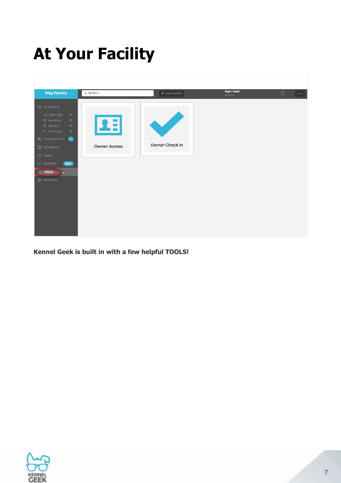# **At Your Facility**



**Kennel Geek is built in with a few helpful TOOLS!**